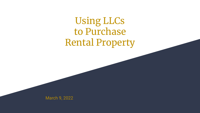# Using LLCs to Purchase Rental Property

March 9, 2022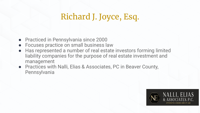## Richard J. Joyce, Esq.

- Practiced in Pennsylvania since 2000
- Focuses practice on small business law
- Has represented a number of real estate investors forming limited liability companies for the purpose of real estate investment and management
- Practices with Nalli, Elias & Associates, PC in Beaver County, Pennsylvania

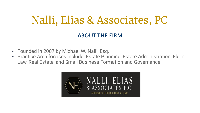# Nalli, Elias & Associates, PC

#### **ABOUT THE FIRM**

- Founded in 2007 by Michael W. Nalli, Esq.
- Practice Area focuses include: Estate Planning, Estate Administration, Elder Law, Real Estate, and Small Business Formation and Governance

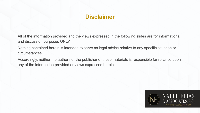### **Disclaimer**

All of the information provided and the views expressed in the following slides are for informational and discussion purposes ONLY.

Nothing contained herein is intended to serve as legal advice relative to any specific situation or circumstances.

Accordingly, neither the author nor the publisher of these materials is responsible for reliance upon any of the information provided or views expressed herein.

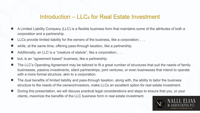#### Introduction – LLCs for Real Estate Investment

- A Limited Liability Company (LLC) is a flexible business form that maintains some of the attributes of both a corporation and a partnership.
- LLCs provide limited liability for the owners of the business, like a corporation; . . .
- while, at the same time, offering pass-through taxation, like a partnership.
- Additionally, an LLC is a "creature of statute", like a corporation; ...
- but, is an "agreement based" business, like a partnership.
- The LLC's Operating Agreement may be tailored to fit a great number of structures that suit the needs of family businesses, passive investments, silent partnerships, joint ventures, or even businesses that intend to operate with a more formal structure, akin to a corporation.
- The dual benefits of limited liability and pass-through taxation, along with, the ability to tailor the business structure to the needs of the owners/investors, make LLCs an excellent option for real estate investment.
- During this presentation, we will discuss practical legal considerations and steps to ensure that you, or your clients, maximize the benefits of the LLC business form in real estate investment.

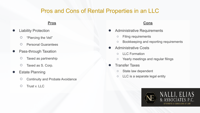#### Pros and Cons of Rental Properties in an LLC

#### **Pros**

- **Liability Protection** 
	- "Piercing the Veil"
	- Personal Guarantees
- Pass-through Taxation
	- Taxed as partnership
	- Taxed as S. Corp.

#### **Estate Planning**

- Continuity and Probate Avoidance
- Trust v. LLC

#### **Cons**

- Administrative Requirements
	- Filing requirements
	- Bookkeeping and reporting requirements
- Administrative Costs
	- LLC Formation
	- Yearly meetings and regular filings
- **Transfer Taxes** 
	- State law dependent
	- LLC is a separate legal entity

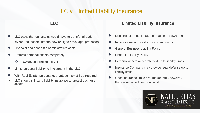#### LLC v. Limited Liability Insurance

**LLC**

- LLC owns the real estate; would have to transfer already owned real assets into the new entity to have legal protection
- Financial and economic administrative costs
- Protects personal assets completely
	- (**CAVEAT:** piercing the veil)
- Limits personal liability to investment in the LLC
- With Real Estate, personal guarantees may still be required
- LLC should still carry liability insurance to protect business assets

#### **Limited Liability Insurance**

- Does not alter legal status of real estate ownership
- No additional administrative commitments
- **General Business Liability Policy**
- **Umbrella Liability Policy**
- Personal assets only protected up to liability limits
- Insurance Company may provide legal defense up to liability limits
- Once insurance limits are "maxed out", however, there is unlimited personal liability

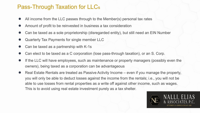### Pass-Through Taxation for LLCs

- All income from the LLC passes through to the Member(s) personal tax rates
- Amount of profit to be reinvested in business a tax consideration
- Can be taxed as a sole proprietorship (disregarded entity), but still need an EIN Number
- Quarterly Tax Payments for single member LLC
- Can be taxed as a partnership with K-1s
- Can elect to be taxed as a C corporation (lose pass-through taxation), or an S. Corp.
- If the LLC will have employees, such as maintenance or property managers (possibly even the owners), being taxed as a corporation can be advantageous
- Real Estate Rentals are treated as Passive Activity Income even if you manage the property, you will only be able to deduct losses against the income from the rentals; i.e., you will not be able to use losses from rental properties as a write off against other income, such as wages. This is to avoid using real estate investment purely as a tax shelter.

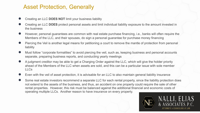#### Asset Protection, Generally

- Creating an LLC DOES NOT limit your business liability
- Creating an LLC **DOES** protect personal assets and limit individual liability exposure to the amount invested in the business
- However, personal guarantees are common with real estate purchase financing, i.e., banks will often require the Members of the LLC, and their spouses, do sign a personal guarantee for purchase money financing
- Piercing the Veil is another legal means for petitioning a court to remove the mantle of protection from personal liability
- Must follow "corporate formalities" to avoid piercing the veil, such as, keeping business and personal accounts separate, preparing business reports, and conducting yearly meetings
- A judgment creditor may be able to get a Charging Order against the LLC, which will give the holder priority ahead of the Members of the LLC when assets are sold, and this can be a particular issue with sole member LLCs
- Even with the veil of asset protection, it is advisable for an LLC to also maintain general liability insurance
- Some real estate investors recommend a separate LLC for each rental property, since the liability protection does not extend to the assets of the business, and thus, an accident on one property could require the sale of other rental properties. However, this risk must be balanced against the additional financial and economic costs of operating multiple LLCs. Another reason to have insurance on every property.

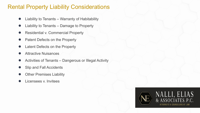### Rental Property Liability Considerations

- Liability to Tenants Warranty of Habitability
- Liability to Tenants Damage to Property
- Residential v. Commercial Property
- Patent Defects on the Property
- Latent Defects on the Property
- **Attractive Nuisances**
- Activities of Tenants Dangerous or Illegal Activity
- **Slip and Fall Accidents**
- **Other Premises Liability**
- Licensees v. Invitees

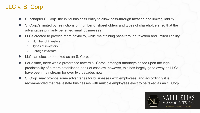### LLC v. S. Corp.

- Subchapter S. Corp. the initial business entity to allow pass-through taxation and limited liability
- S. Corp.'s limited by restrictions on number of shareholders and types of shareholders, so that the advantages primarily benefited small businesses
- LLCs created to provide more flexibility, while maintaining pass-through taxation and limited liability:
	- Number of investors
	- Types of investors
	- Foreign investors
- LLC can elect to be taxed as an S. Corp.
- For a time, there was a preference toward S. Corps. amongst attorneys based upon the legal predictability of a more established bank of caselaw, however, this has largely gone away as LLCs have been mainstream for over two decades now
- S. Corp. may provide some advantages for businesses with employees, and accordingly it is recommended that real estate businesses with multiple employees elect to be taxed as an S. Corp.

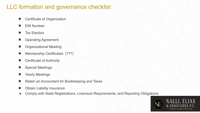### LLC formation and governance checklist

- **Certificate of Organization**
- **EIN Number**
- **Tax Election**
- **Operating Agreement**
- **Organizational Meeting**
- Membership Certificates (???)
- **Certificate of Authority**
- **Special Meetings**
- Yearly Meetings
- Retain an Accountant for Bookkeeping and Taxes
- **Obtain Liability Insurance**
- Comply with State Registrations, Licensure Requirements, and Reporting Obligations

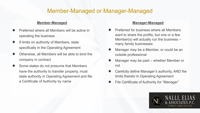#### Member-Managed or Manager-Managed

#### **Member-Managed**

- Preferred where all Members will be active in operating the business
- If limits on authority of Members, state specifically in the Operating Agreement
- Otherwise, all Members will be able to bind the company in contract
- Some states do not presume that Members have the authority to transfer property, must state authority in Operating Agreement and file a Certificate of Authority by name

#### **Manager-Managed**

- **Preferred for business where all Members** want to share the profits, but one or a few Member(s) will actually run the business – many family businesses
- Manager may be a Member, or could be an outside professional
- Manager may be paid whether Member or not
- Carefully define Manager's authority, AND the limits thereto in Operating Agreement
- File Certificate of Authority for "Manager"

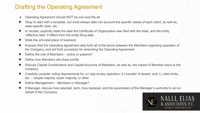### Drafting the Operating Agreement

- Operating Agreement should NOT be one-size-fits-all
- Okay to start with a template, but must always take into account the specific needs of each client, as well as, state-specific laws, etc.
- In recitals, explicitly state the date the Certificate of Organization was filed with the state, and the entity "effective date" if differs from the entity filing date
- State the principal place of business
- Express that the Operating Agreement sets forth all of the terms between the Members regarding operation of the Company, and set forth procedure for amending the Operating Agreement
- Define the role of Members active or passive?
- Define how Members will share profits
- Discuss Capital Contributions and Capital Accounts of Members, as well as, the impact of Member loans to the company
- Carefully consider voting requirements for: a.) day-to-day operation; b.) transfer of assets; and, c.) debt limits, etc. – simple majority, super majority, or other
- Define Management Members or Manager?
- If Manager, discuss how selected, term, how replaced, and the parameters of the Manager's authority to act on behalf of the Company

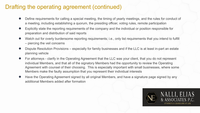#### Drafting the operating agreement (continued)

- Define requirements for calling a special meeting, the timing of yearly meetings, and the rules for conduct of a meeting, including establishing a quorum, the presiding officer, voting rules, remote participation
- Explicitly state the reporting requirements of the company and the individual or position responsible for preparation and distribution of said reports
- Watch out for overly burdensome reporting requirements; i.e., only list requirements that you intend to fulfill – piercing the veil concerns
- Dispute Resolution Provisions especially for family businesses and if the LLC is at least in-part an estate planning vehicle
- For attorneys clarify in the Operating Agreement that the LLC was your client, that you do not represent individual Members, and that all of the signatory Members had the opportunity to review the Operating Agreement with counsel of their choosing. This is especially important with small businesses, where some Members make the faulty assumption that you represent their individual interests
- Have the Operating Agreement signed by all original Members, and have a signature page signed by any additional Members added after formation

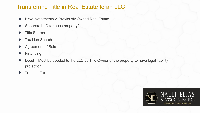### Transferring Title in Real Estate to an LLC

- New Investments v. Previously Owned Real Estate
- Separate LLC for each property?
- **Title Search**
- **Tax Lien Search**
- Agreement of Sale
- **Financing**
- Deed Must be deeded to the LLC as Title Owner of the property to have legal liability protection
- **Transfer Tax**

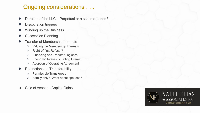### Ongoing considerations . . .

- Duration of the LLC Perpetual or a set time-period?
- **Dissociation triggers**
- Winding up the Business
- **Succession Planning**
- **Transfer of Membership Interests** 
	- Valuing the Membership Interests
	- Right-of-first-Refusal?
	- Financing and Transfer Logistics
	- Economic Interest v. Voting Interest
	- Adoption of Operating Agreement
- **Restrictions on Transferability** 
	- Permissible Transferees
	- Family only? What about spouses?
- Sale of Assets Capital Gains